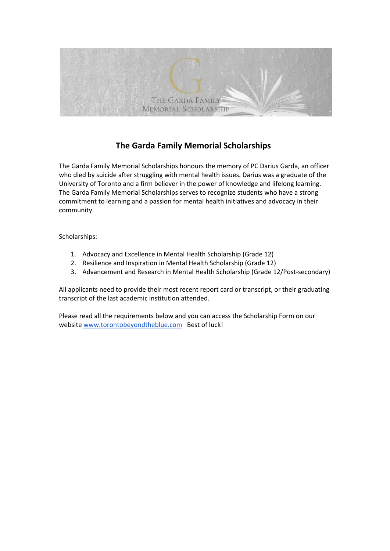

# **The Garda Family Memorial Scholarships**

The Garda Family Memorial Scholarships honours the memory of PC Darius Garda, an officer who died by suicide after struggling with mental health issues. Darius was a graduate of the University of Toronto and a firm believer in the power of knowledge and lifelong learning. The Garda Family Memorial Scholarships serves to recognize students who have a strong commitment to learning and a passion for mental health initiatives and advocacy in their community.

Scholarships:

- 1. Advocacy and Excellence in Mental Health Scholarship (Grade 12)
- 2. Resilience and Inspiration in Mental Health Scholarship (Grade 12)
- 3. Advancement and Research in Mental Health Scholarship (Grade 12/Post-secondary)

All applicants need to provide their most recent report card or transcript, or their graduating transcript of the last academic institution attended.

Please read all the requirements below and you can access the Scholarship Form on our website [www.torontobeyondtheblue.com](http://www.torontobeyondtheblue.com/) Best of luck!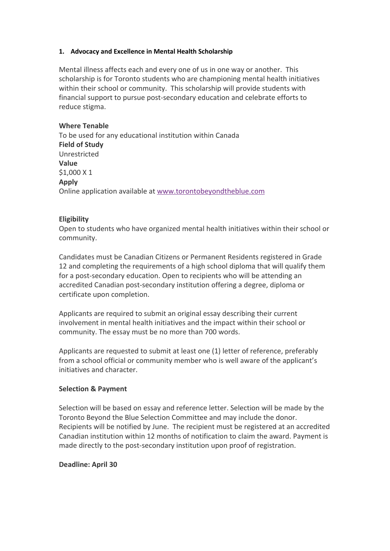#### **1. Advocacy and Excellence in Mental Health Scholarship**

Mental illness affects each and every one of us in one way or another. This scholarship is for Toronto students who are championing mental health initiatives within their school or community. This scholarship will provide students with financial support to pursue post-secondary education and celebrate efforts to reduce stigma.

## **Where Tenable**

To be used for any educational institution within Canada **Field of Study** Unrestricted **Value** \$1,000 X 1 **Apply** Online application available at [www.torontobeyondtheblue.com](https://www.torontobeyondtheblue.com/)

## **Eligibility**

Open to students who have organized mental health initiatives within their school or community.

Candidates must be Canadian Citizens or Permanent Residents registered in Grade 12 and completing the requirements of a high school diploma that will qualify them for a post-secondary education. Open to recipients who will be attending an accredited Canadian post-secondary institution offering a degree, diploma or certificate upon completion.

Applicants are required to submit an original essay describing their current involvement in mental health initiatives and the impact within their school or community. The essay must be no more than 700 words.

Applicants are requested to submit at least one (1) letter of reference, preferably from a school official or community member who is well aware of the applicant's initiatives and character.

## **Selection & Payment**

Selection will be based on essay and reference letter. Selection will be made by the Toronto Beyond the Blue Selection Committee and may include the donor. Recipients will be notified by June. The recipient must be registered at an accredited Canadian institution within 12 months of notification to claim the award. Payment is made directly to the post-secondary institution upon proof of registration.

## **Deadline: April 30**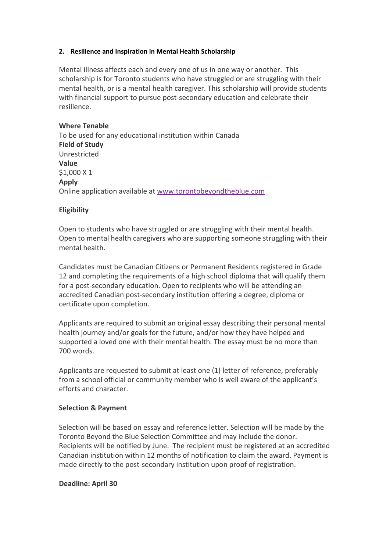#### **2. Resilience and Inspiration in Mental Health Scholarship**

Mental illness affects each and every one of us in one way or another. This scholarship is for Toronto students who have struggled or are struggling with their mental health, or is a mental health caregiver. This scholarship will provide students with financial support to pursue post-secondary education and celebrate their resilience.

## **Where Tenable**

To be used for any educational institution within Canada **Field of Study** Unrestricted **Value** \$1,000 X 1 **Apply** Online application available at [www.torontobeyondtheblue.com](https://www.torontobeyondtheblue.com/)

## **Eligibility**

Open to students who have struggled or are struggling with their mental health. Open to mental health caregivers who are supporting someone struggling with their mental health.

Candidates must be Canadian Citizens or Permanent Residents registered in Grade 12 and completing the requirements of a high school diploma that will qualify them for a post-secondary education. Open to recipients who will be attending an accredited Canadian post-secondary institution offering a degree, diploma or certificate upon completion.

Applicants are required to submit an original essay describing their personal mental health journey and/or goals for the future, and/or how they have helped and supported a loved one with their mental health. The essay must be no more than 700 words.

Applicants are requested to submit at least one (1) letter of reference, preferably from a school official or community member who is well aware of the applicant's efforts and character.

## **Selection & Payment**

Selection will be based on essay and reference letter. Selection will be made by the Toronto Beyond the Blue Selection Committee and may include the donor. Recipients will be notified by June. The recipient must be registered at an accredited Canadian institution within 12 months of notification to claim the award. Payment is made directly to the post-secondary institution upon proof of registration.

## **Deadline: April 30**